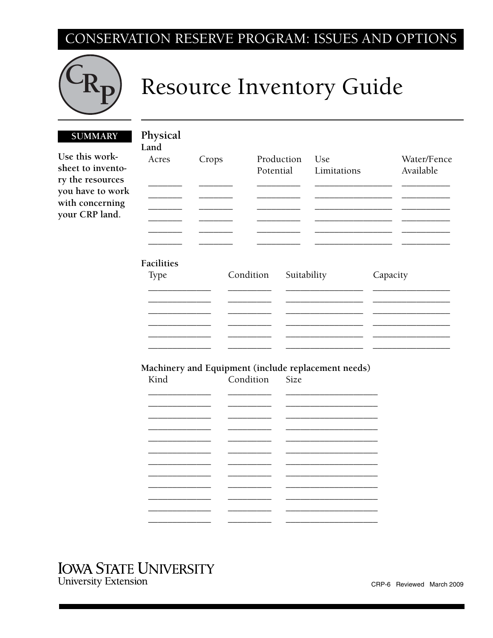## CONSERVATION RESERVE PROGRAM: ISSUES AND OPTIONS



## Resource Inventory Guide

## **SUMMARY**

Use this worksheet to inventory the resources you have to work with concerning your CRP land.

| Physical   |       |           |             |                                                     |          |                          |
|------------|-------|-----------|-------------|-----------------------------------------------------|----------|--------------------------|
| Land       |       |           |             |                                                     |          |                          |
| Acres      | Crops | Potential | Production  | Use<br>Limitations                                  |          | Water/Fence<br>Available |
|            |       |           |             |                                                     |          |                          |
|            |       |           |             |                                                     |          |                          |
| Facilities |       |           |             |                                                     |          |                          |
| Type       |       | Condition | Suitability |                                                     | Capacity |                          |
|            |       |           |             |                                                     |          |                          |
|            |       |           |             |                                                     |          |                          |
|            |       |           |             |                                                     |          |                          |
|            |       |           |             |                                                     |          |                          |
|            |       |           |             |                                                     |          |                          |
|            |       |           |             | Machinery and Equipment (include replacement needs) |          |                          |
| Kind       |       | Condition | Size        |                                                     |          |                          |
|            |       |           |             |                                                     |          |                          |
|            |       |           |             |                                                     |          |                          |
|            |       |           |             |                                                     |          |                          |
|            |       |           |             |                                                     |          |                          |
|            |       |           |             |                                                     |          |                          |
|            |       |           |             |                                                     |          |                          |
|            |       |           |             |                                                     |          |                          |

## **IOWA STATE UNIVERSITY**

**University Extension**